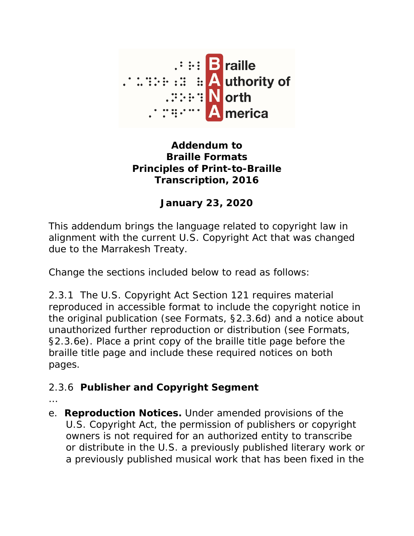

## **Addendum to Braille Formats Principles of Print-to-Braille Transcription, 2016**

## **January 23, 2020**

This addendum brings the language related to copyright law in alignment with the current U.S. Copyright Act that was changed due to the Marrakesh Treaty.

Change the sections included below to read as follows:

2.3.1 The U.S. Copyright Act Section 121 requires material reproduced in accessible format to include the copyright notice in the original publication (see *Formats*, §2.3.6d) and a notice about unauthorized further reproduction or distribution (see *Formats*, §2.3.6e). Place a print copy of the braille title page before the braille title page and include these required notices on both pages.

## 2.3.6 **Publisher and Copyright Segment**

- …
- e. **Reproduction Notices.** Under amended provisions of the U.S. Copyright Act, the permission of publishers or copyright owners is not required for an authorized entity to transcribe or distribute in the U.S. a previously published literary work or a previously published musical work that has been fixed in the